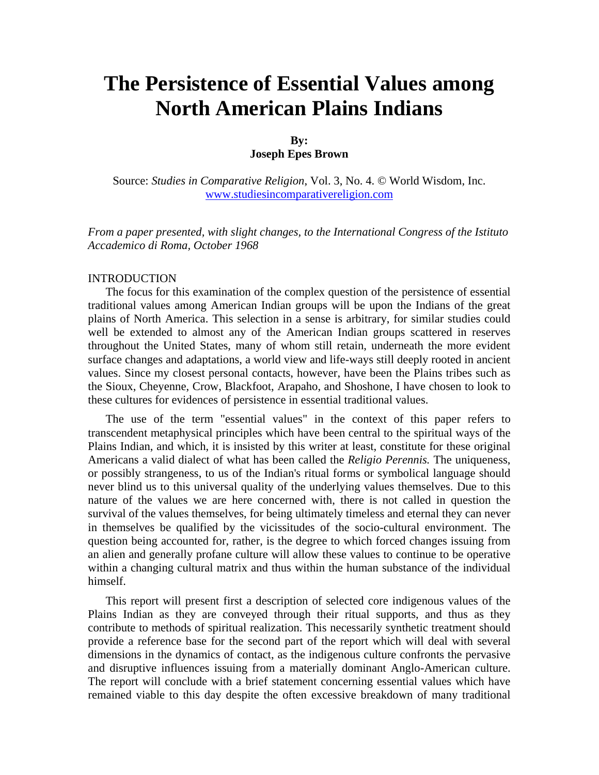# **The Persistence of Essential Values among North American Plains Indians**

#### **By:**

## **Joseph Epes Brown**

Source: *Studies in Comparative Religion*, Vol. 3, No. 4. © World Wisdom, Inc. [www.studiesincomparativereligion.com](http://www.studiesincomparativereligion.com/)

*From a paper presented, with slight changes, to the International Congress of the Istituto Accademico di Roma, October 1968* 

#### INTRODUCTION

The focus for this examination of the complex question of the persistence of essential traditional values among American Indian groups will be upon the Indians of the great plains of North America. This selection in a sense is arbitrary, for similar studies could well be extended to almost any of the American Indian groups scattered in reserves throughout the United States, many of whom still retain, underneath the more evident surface changes and adaptations, a world view and life-ways still deeply rooted in ancient values. Since my closest personal contacts, however, have been the Plains tribes such as the Sioux, Cheyenne, Crow, Blackfoot, Arapaho, and Shoshone, I have chosen to look to these cultures for evidences of persistence in essential traditional values.

The use of the term "essential values" in the context of this paper refers to transcendent metaphysical principles which have been central to the spiritual ways of the Plains Indian, and which, it is insisted by this writer at least, constitute for these original Americans a valid dialect of what has been called the *Religio Perennis.* The uniqueness, or possibly strangeness, to us of the Indian's ritual forms or symbolical language should never blind us to this universal quality of the underlying values themselves. Due to this nature of the values we are here concerned with, there is not called in question the survival of the values themselves, for being ultimately timeless and eternal they can never in themselves be qualified by the vicissitudes of the socio-cultural environment. The question being accounted for, rather, is the degree to which forced changes issuing from an alien and generally profane culture will allow these values to continue to be operative within a changing cultural matrix and thus within the human substance of the individual himself.

This report will present first a description of selected core indigenous values of the Plains Indian as they are conveyed through their ritual supports, and thus as they contribute to methods of spiritual realization. This necessarily synthetic treatment should provide a reference base for the second part of the report which will deal with several dimensions in the dynamics of contact, as the indigenous culture confronts the pervasive and disruptive influences issuing from a materially dominant Anglo-American culture. The report will conclude with a brief statement concerning essential values which have remained viable to this day despite the often excessive breakdown of many traditional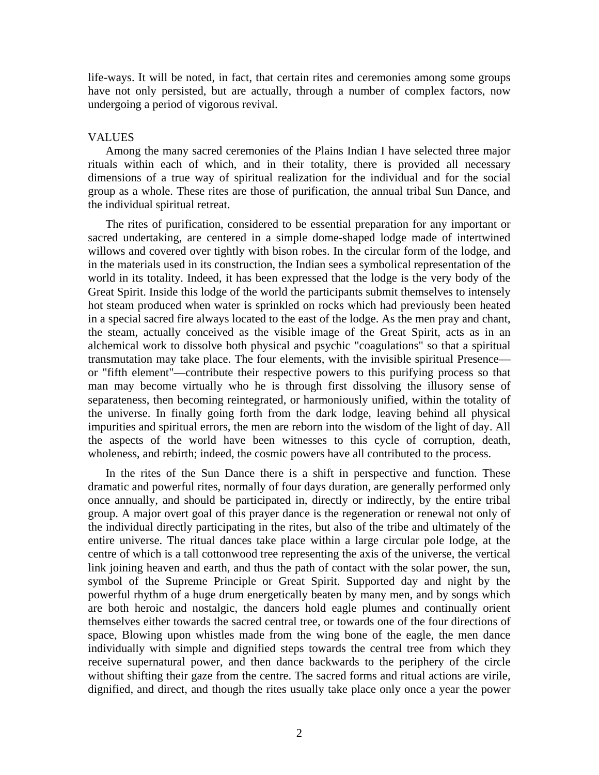life-ways. It will be noted, in fact, that certain rites and ceremonies among some groups have not only persisted, but are actually, through a number of complex factors, now undergoing a period of vigorous revival.

#### **VALUES**

Among the many sacred ceremonies of the Plains Indian I have selected three major rituals within each of which, and in their totality, there is provided all necessary dimensions of a true way of spiritual realization for the individual and for the social group as a whole. These rites are those of purification, the annual tribal Sun Dance, and the individual spiritual retreat.

The rites of purification, considered to be essential preparation for any important or sacred undertaking, are centered in a simple dome-shaped lodge made of intertwined willows and covered over tightly with bison robes. In the circular form of the lodge, and in the materials used in its construction, the Indian sees a symbolical representation of the world in its totality. Indeed, it has been expressed that the lodge is the very body of the Great Spirit. Inside this lodge of the world the participants submit themselves to intensely hot steam produced when water is sprinkled on rocks which had previously been heated in a special sacred fire always located to the east of the lodge. As the men pray and chant, the steam, actually conceived as the visible image of the Great Spirit, acts as in an alchemical work to dissolve both physical and psychic "coagulations" so that a spiritual transmutation may take place. The four elements, with the invisible spiritual Presence or "fifth element"—contribute their respective powers to this purifying process so that man may become virtually who he is through first dissolving the illusory sense of separateness, then becoming reintegrated, or harmoniously unified, within the totality of the universe. In finally going forth from the dark lodge, leaving behind all physical impurities and spiritual errors, the men are reborn into the wisdom of the light of day. All the aspects of the world have been witnesses to this cycle of corruption, death, wholeness, and rebirth; indeed, the cosmic powers have all contributed to the process.

In the rites of the Sun Dance there is a shift in perspective and function. These dramatic and powerful rites, normally of four days duration, are generally performed only once annually, and should be participated in, directly or indirectly, by the entire tribal group. A major overt goal of this prayer dance is the regeneration or renewal not only of the individual directly participating in the rites, but also of the tribe and ultimately of the entire universe. The ritual dances take place within a large circular pole lodge, at the centre of which is a tall cottonwood tree representing the axis of the universe, the vertical link joining heaven and earth, and thus the path of contact with the solar power, the sun, symbol of the Supreme Principle or Great Spirit. Supported day and night by the powerful rhythm of a huge drum energetically beaten by many men, and by songs which are both heroic and nostalgic, the dancers hold eagle plumes and continually orient themselves either towards the sacred central tree, or towards one of the four directions of space, Blowing upon whistles made from the wing bone of the eagle, the men dance individually with simple and dignified steps towards the central tree from which they receive supernatural power, and then dance backwards to the periphery of the circle without shifting their gaze from the centre. The sacred forms and ritual actions are virile, dignified, and direct, and though the rites usually take place only once a year the power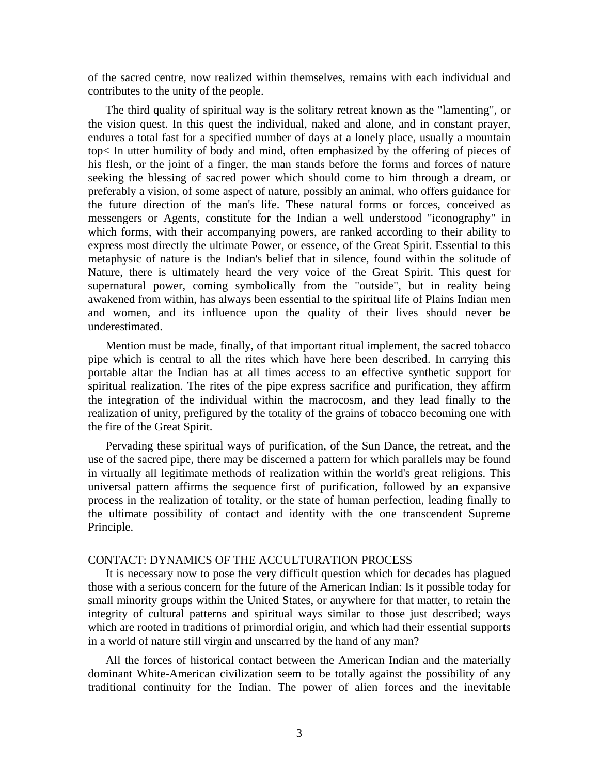of the sacred centre, now realized within themselves, remains with each individual and contributes to the unity of the people.

The third quality of spiritual way is the solitary retreat known as the "lamenting", or the vision quest. In this quest the individual, naked and alone, and in constant prayer, endures a total fast for a specified number of days at a lonely place, usually a mountain top< In utter humility of body and mind, often emphasized by the offering of pieces of his flesh, or the joint of a finger, the man stands before the forms and forces of nature seeking the blessing of sacred power which should come to him through a dream, or preferably a vision, of some aspect of nature, possibly an animal, who offers guidance for the future direction of the man's life. These natural forms or forces, conceived as messengers or Agents, constitute for the Indian a well understood "iconography" in which forms, with their accompanying powers, are ranked according to their ability to express most directly the ultimate Power, or essence, of the Great Spirit. Essential to this metaphysic of nature is the Indian's belief that in silence, found within the solitude of Nature, there is ultimately heard the very voice of the Great Spirit. This quest for supernatural power, coming symbolically from the "outside", but in reality being awakened from within, has always been essential to the spiritual life of Plains Indian men and women, and its influence upon the quality of their lives should never be underestimated.

Mention must be made, finally, of that important ritual implement, the sacred tobacco pipe which is central to all the rites which have here been described. In carrying this portable altar the Indian has at all times access to an effective synthetic support for spiritual realization. The rites of the pipe express sacrifice and purification, they affirm the integration of the individual within the macrocosm, and they lead finally to the realization of unity, prefigured by the totality of the grains of tobacco becoming one with the fire of the Great Spirit.

Pervading these spiritual ways of purification, of the Sun Dance, the retreat, and the use of the sacred pipe, there may be discerned a pattern for which parallels may be found in virtually all legitimate methods of realization within the world's great religions. This universal pattern affirms the sequence first of purification, followed by an expansive process in the realization of totality, or the state of human perfection, leading finally to the ultimate possibility of contact and identity with the one transcendent Supreme Principle.

### CONTACT: DYNAMICS OF THE ACCULTURATION PROCESS

It is necessary now to pose the very difficult question which for decades has plagued those with a serious concern for the future of the American Indian: Is it possible today for small minority groups within the United States, or anywhere for that matter, to retain the integrity of cultural patterns and spiritual ways similar to those just described; ways which are rooted in traditions of primordial origin, and which had their essential supports in a world of nature still virgin and unscarred by the hand of any man?

All the forces of historical contact between the American Indian and the materially dominant White-American civilization seem to be totally against the possibility of any traditional continuity for the Indian. The power of alien forces and the inevitable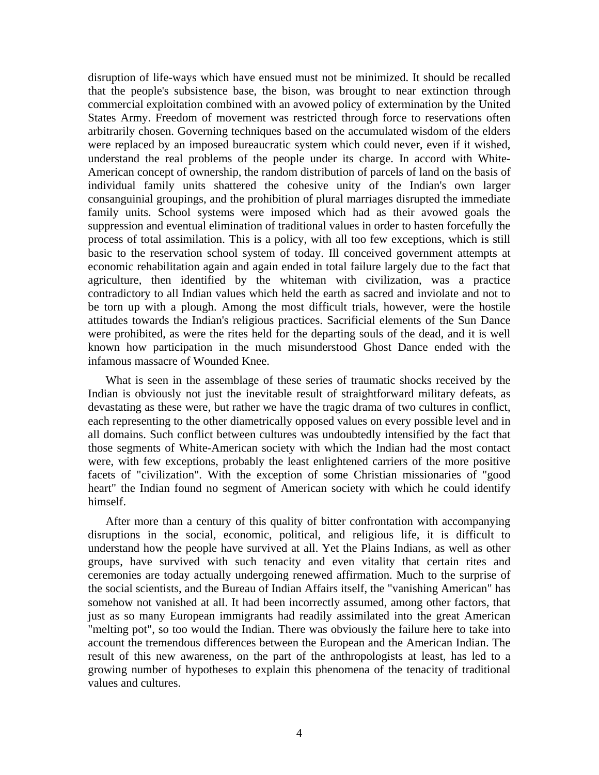disruption of life-ways which have ensued must not be minimized. It should be recalled that the people's subsistence base, the bison, was brought to near extinction through commercial exploitation combined with an avowed policy of extermination by the United States Army. Freedom of movement was restricted through force to reservations often arbitrarily chosen. Governing techniques based on the accumulated wisdom of the elders were replaced by an imposed bureaucratic system which could never, even if it wished, understand the real problems of the people under its charge. In accord with White-American concept of ownership, the random distribution of parcels of land on the basis of individual family units shattered the cohesive unity of the Indian's own larger consanguinial groupings, and the prohibition of plural marriages disrupted the immediate family units. School systems were imposed which had as their avowed goals the suppression and eventual elimination of traditional values in order to hasten forcefully the process of total assimilation. This is a policy, with all too few exceptions, which is still basic to the reservation school system of today. Ill conceived government attempts at economic rehabilitation again and again ended in total failure largely due to the fact that agriculture, then identified by the whiteman with civilization, was a practice contradictory to all Indian values which held the earth as sacred and inviolate and not to be torn up with a plough. Among the most difficult trials, however, were the hostile attitudes towards the Indian's religious practices. Sacrificial elements of the Sun Dance were prohibited, as were the rites held for the departing souls of the dead, and it is well known how participation in the much misunderstood Ghost Dance ended with the infamous massacre of Wounded Knee.

What is seen in the assemblage of these series of traumatic shocks received by the Indian is obviously not just the inevitable result of straightforward military defeats, as devastating as these were, but rather we have the tragic drama of two cultures in conflict, each representing to the other diametrically opposed values on every possible level and in all domains. Such conflict between cultures was undoubtedly intensified by the fact that those segments of White-American society with which the Indian had the most contact were, with few exceptions, probably the least enlightened carriers of the more positive facets of "civilization". With the exception of some Christian missionaries of "good heart" the Indian found no segment of American society with which he could identify himself.

After more than a century of this quality of bitter confrontation with accompanying disruptions in the social, economic, political, and religious life, it is difficult to understand how the people have survived at all. Yet the Plains Indians, as well as other groups, have survived with such tenacity and even vitality that certain rites and ceremonies are today actually undergoing renewed affirmation. Much to the surprise of the social scientists, and the Bureau of Indian Affairs itself, the "vanishing American" has somehow not vanished at all. It had been incorrectly assumed, among other factors, that just as so many European immigrants had readily assimilated into the great American "melting pot", so too would the Indian. There was obviously the failure here to take into account the tremendous differences between the European and the American Indian. The result of this new awareness, on the part of the anthropologists at least, has led to a growing number of hypotheses to explain this phenomena of the tenacity of traditional values and cultures.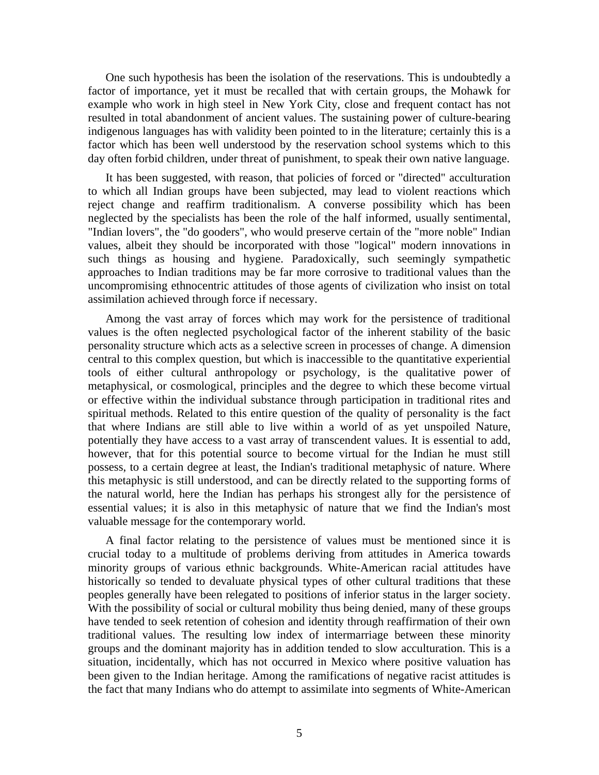One such hypothesis has been the isolation of the reservations. This is undoubtedly a factor of importance, yet it must be recalled that with certain groups, the Mohawk for example who work in high steel in New York City, close and frequent contact has not resulted in total abandonment of ancient values. The sustaining power of culture-bearing indigenous languages has with validity been pointed to in the literature; certainly this is a factor which has been well understood by the reservation school systems which to this day often forbid children, under threat of punishment, to speak their own native language.

It has been suggested, with reason, that policies of forced or "directed" acculturation to which all Indian groups have been subjected, may lead to violent reactions which reject change and reaffirm traditionalism. A converse possibility which has been neglected by the specialists has been the role of the half informed, usually sentimental, "Indian lovers", the "do gooders", who would preserve certain of the "more noble" Indian values, albeit they should be incorporated with those "logical" modern innovations in such things as housing and hygiene. Paradoxically, such seemingly sympathetic approaches to Indian traditions may be far more corrosive to traditional values than the uncompromising ethnocentric attitudes of those agents of civilization who insist on total assimilation achieved through force if necessary.

Among the vast array of forces which may work for the persistence of traditional values is the often neglected psychological factor of the inherent stability of the basic personality structure which acts as a selective screen in processes of change. A dimension central to this complex question, but which is inaccessible to the quantitative experiential tools of either cultural anthropology or psychology, is the qualitative power of metaphysical, or cosmological, principles and the degree to which these become virtual or effective within the individual substance through participation in traditional rites and spiritual methods. Related to this entire question of the quality of personality is the fact that where Indians are still able to live within a world of as yet unspoiled Nature, potentially they have access to a vast array of transcendent values. It is essential to add, however, that for this potential source to become virtual for the Indian he must still possess, to a certain degree at least, the Indian's traditional metaphysic of nature. Where this metaphysic is still understood, and can be directly related to the supporting forms of the natural world, here the Indian has perhaps his strongest ally for the persistence of essential values; it is also in this metaphysic of nature that we find the Indian's most valuable message for the contemporary world.

A final factor relating to the persistence of values must be mentioned since it is crucial today to a multitude of problems deriving from attitudes in America towards minority groups of various ethnic backgrounds. White-American racial attitudes have historically so tended to devaluate physical types of other cultural traditions that these peoples generally have been relegated to positions of inferior status in the larger society. With the possibility of social or cultural mobility thus being denied, many of these groups have tended to seek retention of cohesion and identity through reaffirmation of their own traditional values. The resulting low index of intermarriage between these minority groups and the dominant majority has in addition tended to slow acculturation. This is a situation, incidentally, which has not occurred in Mexico where positive valuation has been given to the Indian heritage. Among the ramifications of negative racist attitudes is the fact that many Indians who do attempt to assimilate into segments of White-American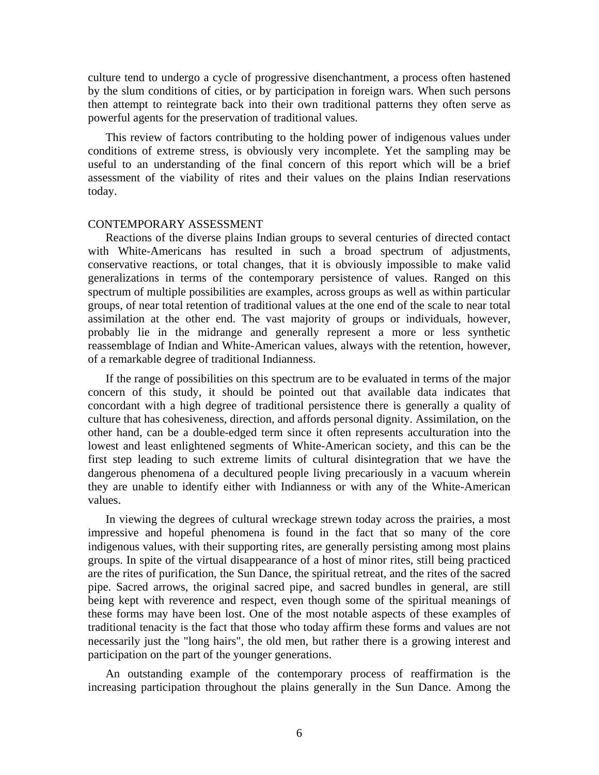culture tend to undergo a cycle of progressive disenchantment, a process often hastened by the slum conditions of cities, or by participation in foreign wars. When such persons then attempt to reintegrate back into their own traditional patterns they often serve as powerful agents for the preservation of traditional values.

This review of factors contributing to the holding power of indigenous values under conditions of extreme stress, is obviously very incomplete. Yet the sampling may be useful to an understanding of the final concern of this report which will be a brief assessment of the viability of rites and their values on the plains Indian reservations today.

#### CONTEMPORARY ASSESSMENT

Reactions of the diverse plains Indian groups to several centuries of directed contact with White-Americans has resulted in such a broad spectrum of adjustments, conservative reactions, or total changes, that it is obviously impossible to make valid generalizations in terms of the contemporary persistence of values. Ranged on this spectrum of multiple possibilities are examples, across groups as well as within particular groups, of near total retention of traditional values at the one end of the scale to near total assimilation at the other end. The vast majority of groups or individuals, however, probably lie in the midrange and generally represent a more or less synthetic reassemblage of Indian and White-American values, always with the retention, however, of a remarkable degree of traditional Indianness.

If the range of possibilities on this spectrum are to be evaluated in terms of the major concern of this study, it should be pointed out that available data indicates that concordant with a high degree of traditional persistence there is generally a quality of culture that has cohesiveness, direction, and affords personal dignity. Assimilation, on the other hand, can be a double-edged term since it often represents acculturation into the lowest and least enlightened segments of White-American society, and this can be the first step leading to such extreme limits of cultural disintegration that we have the dangerous phenomena of a decultured people living precariously in a vacuum wherein they are unable to identify either with Indianness or with any of the White-American values.

In viewing the degrees of cultural wreckage strewn today across the prairies, a most impressive and hopeful phenomena is found in the fact that so many of the core indigenous values, with their supporting rites, are generally persisting among most plains groups. In spite of the virtual disappearance of a host of minor rites, still being practiced are the rites of purification, the Sun Dance, the spiritual retreat, and the rites of the sacred pipe. Sacred arrows, the original sacred pipe, and sacred bundles in general, are still being kept with reverence and respect, even though some of the spiritual meanings of these forms may have been lost. One of the most notable aspects of these examples of traditional tenacity is the fact that those who today affirm these forms and values are not necessarily just the "long hairs", the old men, but rather there is a growing interest and participation on the part of the younger generations.

An outstanding example of the contemporary process of reaffirmation is the increasing participation throughout the plains generally in the Sun Dance. Among the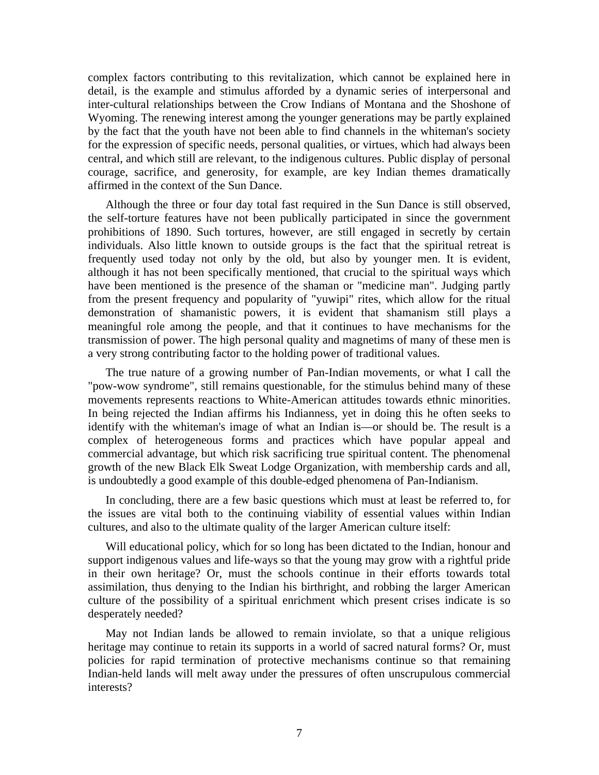complex factors contributing to this revitalization, which cannot be explained here in detail, is the example and stimulus afforded by a dynamic series of interpersonal and inter-cultural relationships between the Crow Indians of Montana and the Shoshone of Wyoming. The renewing interest among the younger generations may be partly explained by the fact that the youth have not been able to find channels in the whiteman's society for the expression of specific needs, personal qualities, or virtues, which had always been central, and which still are relevant, to the indigenous cultures. Public display of personal courage, sacrifice, and generosity, for example, are key Indian themes dramatically affirmed in the context of the Sun Dance.

Although the three or four day total fast required in the Sun Dance is still observed, the self-torture features have not been publically participated in since the government prohibitions of 1890. Such tortures, however, are still engaged in secretly by certain individuals. Also little known to outside groups is the fact that the spiritual retreat is frequently used today not only by the old, but also by younger men. It is evident, although it has not been specifically mentioned, that crucial to the spiritual ways which have been mentioned is the presence of the shaman or "medicine man". Judging partly from the present frequency and popularity of "yuwipi" rites, which allow for the ritual demonstration of shamanistic powers, it is evident that shamanism still plays a meaningful role among the people, and that it continues to have mechanisms for the transmission of power. The high personal quality and magnetims of many of these men is a very strong contributing factor to the holding power of traditional values.

The true nature of a growing number of Pan-Indian movements, or what I call the "pow-wow syndrome", still remains questionable, for the stimulus behind many of these movements represents reactions to White-American attitudes towards ethnic minorities. In being rejected the Indian affirms his Indianness, yet in doing this he often seeks to identify with the whiteman's image of what an Indian is—or should be. The result is a complex of heterogeneous forms and practices which have popular appeal and commercial advantage, but which risk sacrificing true spiritual content. The phenomenal growth of the new Black Elk Sweat Lodge Organization, with membership cards and all, is undoubtedly a good example of this double-edged phenomena of Pan-Indianism.

In concluding, there are a few basic questions which must at least be referred to, for the issues are vital both to the continuing viability of essential values within Indian cultures, and also to the ultimate quality of the larger American culture itself:

Will educational policy, which for so long has been dictated to the Indian, honour and support indigenous values and life-ways so that the young may grow with a rightful pride in their own heritage? Or, must the schools continue in their efforts towards total assimilation, thus denying to the Indian his birthright, and robbing the larger American culture of the possibility of a spiritual enrichment which present crises indicate is so desperately needed?

May not Indian lands be allowed to remain inviolate, so that a unique religious heritage may continue to retain its supports in a world of sacred natural forms? Or, must policies for rapid termination of protective mechanisms continue so that remaining Indian-held lands will melt away under the pressures of often unscrupulous commercial interests?